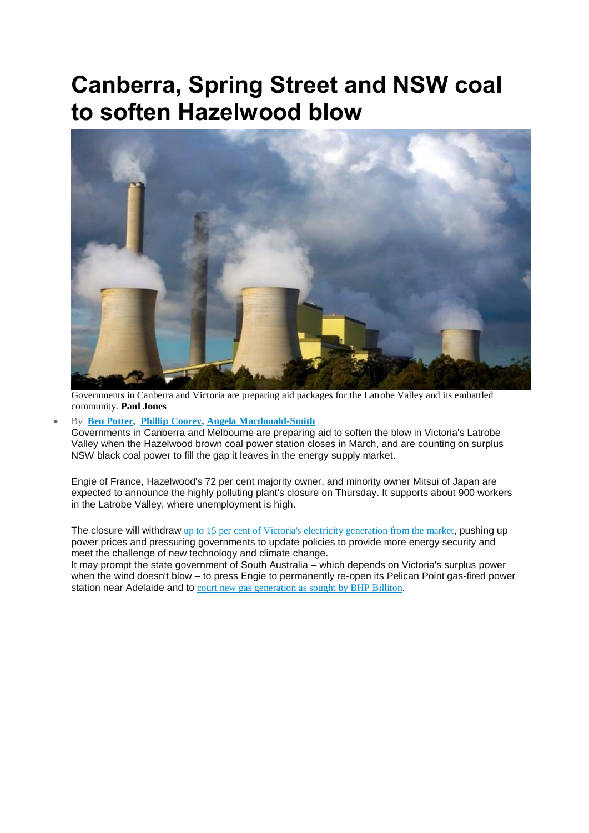## **Canberra, Spring Street and NSW coal to soften Hazelwood blow**



Governments in Canberra and Victoria are preparing aid packages for the Latrobe Valley and its embattled community. **Paul Jones**

## By **Ben [Potter,](http://www.afr.com/news/ben-potter-j7gdk.html) Phillip [Coorey,](http://www.afr.com/news/phillip-coorey-hve1e.html) Angela [Macdonald-Smith](http://www.afr.com/news/angela-macdonald-smith-j7gcz.html)**

Governments in Canberra and Melbourne are preparing aid to soften the blow in Victoria's Latrobe Valley when the Hazelwood brown coal power station closes in March, and are counting on surplus NSW black coal power to fill the gap it leaves in the energy supply market.

Engie of France, Hazelwood's 72 per cent majority owner, and minority owner Mitsui of Japan are expected to announce the highly polluting plant's closure on Thursday. It supports about 900 workers in the Latrobe Valley, where unemployment is high.

The closure will withdraw up to 15 per cent of Victoria's electricity [generation](http://www.afr.com/business/energy/alcoas-portland-future-hangs-on-hazelwood-decision-20161030-gseczs) from the market, pushing up power prices and pressuring governments to update policies to provide more energy security and meet the challenge of new technology and climate change.

It may prompt the state government of South Australia – which depends on Victoria's surplus power when the wind doesn't blow – to press Engie to permanently re-open its Pelican Point gas-fired power station near Adelaide and to court new gas [generation](http://www.afr.com/business/energy/alcoas-portland-future-hangs-on-hazelwood-decision-20161030-gseczs) as sought by BHP Billiton.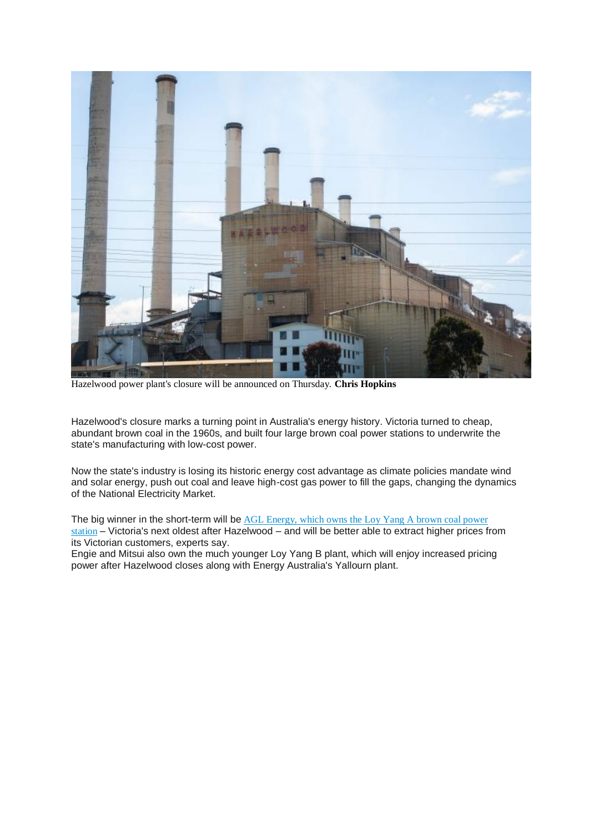

Hazelwood power plant's closure will be announced on Thursday. **Chris Hopkins**

Hazelwood's closure marks a turning point in Australia's energy history. Victoria turned to cheap, abundant brown coal in the 1960s, and built four large brown coal power stations to underwrite the state's manufacturing with low-cost power.

Now the state's industry is losing its historic energy cost advantage as climate policies mandate wind and solar energy, push out coal and leave high-cost gas power to fill the gaps, changing the dynamics of the National Electricity Market.

The big winner in the short-term will be AGL [Energy,](http://www.afr.com/news/portland-smelter-decision-hangs-over-hazelwood-nem-20160926-grodu5) which owns the Loy Yang A brown coal power [station](http://www.afr.com/news/portland-smelter-decision-hangs-over-hazelwood-nem-20160926-grodu5) – Victoria's next oldest after Hazelwood – and will be better able to extract higher prices from its Victorian customers, experts say.

Engie and Mitsui also own the much younger Loy Yang B plant, which will enjoy increased pricing power after Hazelwood closes along with Energy Australia's Yallourn plant.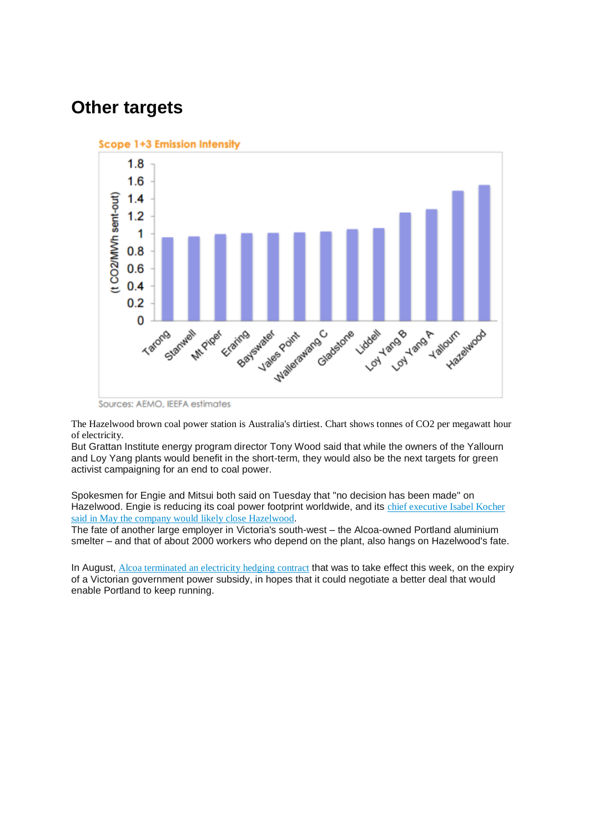## **Other targets**





The Hazelwood brown coal power station is Australia's dirtiest. Chart shows tonnes of CO2 per megawatt hour of electricity.

But Grattan Institute energy program director Tony Wood said that while the owners of the Yallourn and Loy Yang plants would benefit in the short-term, they would also be the next targets for green activist campaigning for an end to coal power.

Spokesmen for Engie and Mitsui both said on Tuesday that "no decision has been made" on Hazelwood. Engie is reducing its coal power footprint worldwide, and its chief [executive](http://www.afr.com/business/energy/french-energy-giant-engie-mulls-closure-of-hazelwood-power-station-20160525-gp426a) Isabel Kocher said in May the company would likely close [Hazelwood](http://www.afr.com/business/energy/french-energy-giant-engie-mulls-closure-of-hazelwood-power-station-20160525-gp426a).

The fate of another large employer in Victoria's south-west – the Alcoa-owned Portland aluminium smelter – and that of about 2000 workers who depend on the plant, also hangs on Hazelwood's fate.

In August, Alcoa [terminated](http://www.afr.com/business/energy/electricity/agl-energy-to-lose-portland-smelter-contract-as-owners-seek-lower-price-20160811-gqqt9v) an electricity hedging contract that was to take effect this week, on the expiry of a Victorian government power subsidy, in hopes that it could negotiate a better deal that would enable Portland to keep running.

Sources: AEMO, IEEFA estimates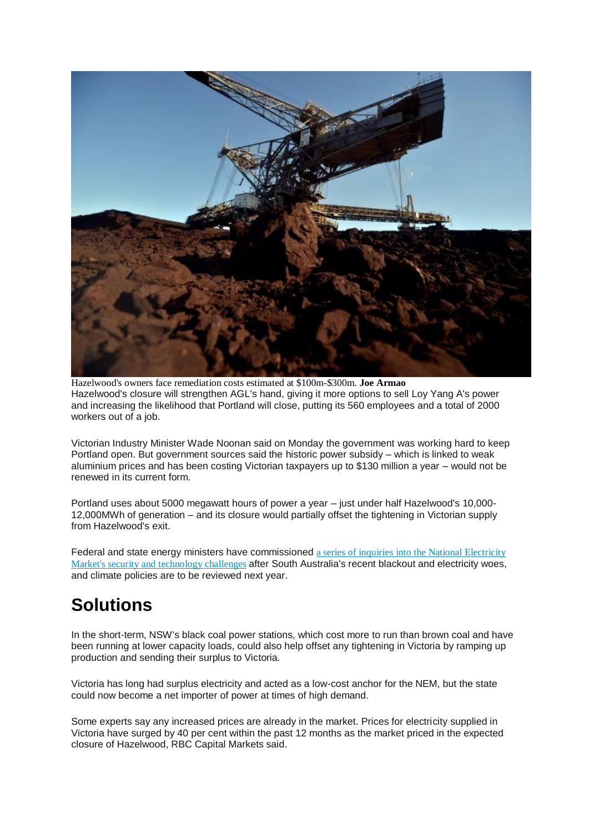

Hazelwood's owners face remediation costs estimated at \$100m-\$300m. **Joe Armao** Hazelwood's closure will strengthen AGL's hand, giving it more options to sell Loy Yang A's power and increasing the likelihood that Portland will close, putting its 560 employees and a total of 2000 workers out of a job.

Victorian Industry Minister Wade Noonan said on Monday the government was working hard to keep Portland open. But government sources said the historic power subsidy – which is linked to weak aluminium prices and has been costing Victorian taxpayers up to \$130 million a year – would not be renewed in its current form.

Portland uses about 5000 megawatt hours of power a year – just under half Hazelwood's 10,000- 12,000MWh of generation – and its closure would partially offset the tightening in Victorian supply from Hazelwood's exit.

Federal and state energy ministers have commissioned a series of inquiries into the National [Electricity](http://www.afr.com/news/politics/coag-energy-ministers-meet-after-sa-wakeup-call-20161006-grwp9q) Market's security and [technology](http://www.afr.com/news/politics/coag-energy-ministers-meet-after-sa-wakeup-call-20161006-grwp9q) challenges after South Australia's recent blackout and electricity woes, and climate policies are to be reviewed next year.

## **Solutions**

In the short-term, NSW's black coal power stations, which cost more to run than brown coal and have been running at lower capacity loads, could also help offset any tightening in Victoria by ramping up production and sending their surplus to Victoria.

Victoria has long had surplus electricity and acted as a low-cost anchor for the NEM, but the state could now become a net importer of power at times of high demand.

Some experts say any increased prices are already in the market. Prices for electricity supplied in Victoria have surged by 40 per cent within the past 12 months as the market priced in the expected closure of Hazelwood, RBC Capital Markets said.